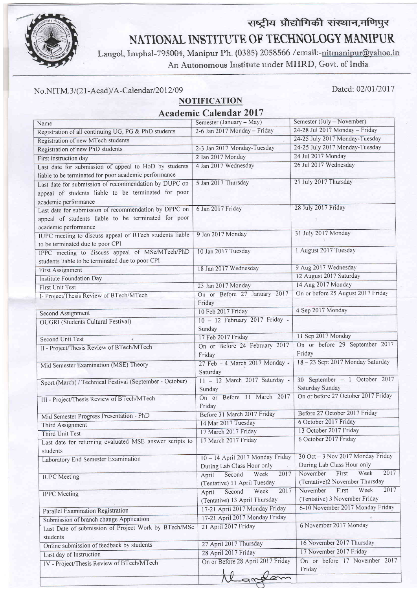

## राष्ट्रीय प्रौद्योगिकी संस्थान,मणिपुर NATIONAL INSTITUTE OF TECHNOLOGY MANIPUR

Langol, Imphal-795004, Manipur Ph. (0385) 2058566 /email:-nitmanipur@yahoo.in An Autonomous Institute under MHRD, Govt. of India.

## No.NITM.3/(21-Acad)/A-Calendar/2012/09

Dated: 02/01/2017

## **NOTIFICATION** Academic Calendar 2017

| Name                                                                       | Semester (January - May)                   | Semester (July - November)          |
|----------------------------------------------------------------------------|--------------------------------------------|-------------------------------------|
| Registration of all continuing UG, PG & PhD students                       | 2-6 Jan 2017 Monday - Friday               | 24-28 Jul 2017 Monday - Friday      |
| Registration of new MTech students                                         |                                            | 24-25 July 2017 Monday-Tuesday      |
| Registration of new PhD students                                           | 2-3 Jan 2017 Monday-Tuesday                | 24-25 July 2017 Monday-Tuesday      |
| First instruction day                                                      | 2 Jan 2017 Monday                          | 24 Jul 2017 Monday                  |
| Last date for submission of appeal to HoD by students                      | 4 Jan 2017 Wednesday                       | 26 Jul 2017 Wednesday               |
| liable to be terminated for poor academic performance                      |                                            |                                     |
| Last date for submission of recommendation by DUPC on                      | 5 Jan 2017 Thursday                        | 27 July 2017 Thursday               |
| appeal of students liable to be terminated for poor                        |                                            |                                     |
| academic performance                                                       |                                            |                                     |
| Last date for submission of recommendation by DPPC on                      | 6 Jan 2017 Friday                          | 28 July 2017 Friday                 |
| appeal of students liable to be terminated for poor                        |                                            |                                     |
| academic performance                                                       |                                            |                                     |
| IUPC meeting to discuss appeal of BTech students liable                    | 9 Jan 2017 Monday                          | 31 July 2017 Monday                 |
| to be terminated due to poor CPI                                           |                                            |                                     |
| IPPC meeting to discuss appeal of MSc/MTech/PhD                            | 10 Jan 2017 Tuesday                        | 1 August 2017 Tuesday               |
| students liable to be terminated due to poor CPI                           |                                            |                                     |
| First Assignment                                                           | 18 Jan 2017 Wednesday                      | 9 Aug 2017 Wednesday                |
| <b>Institute Foundation Day</b>                                            |                                            | 12 August 2017 Saturday             |
| <b>First Unit Test</b>                                                     | 23 Jan 2017 Monday                         | 14 Aug 2017 Monday                  |
| I- Project/Thesis Review of BTech/MTech                                    | On or Before 27 January 2017               | On or before 25 August 2017 Friday  |
|                                                                            | Friday                                     |                                     |
|                                                                            | 10 Feb 2017 Friday                         | 4 Sep 2017 Monday                   |
| Second Assignment                                                          | 10 - 12 February 2017 Friday -             |                                     |
| <b>OUGRI</b> (Students Cultural Festival)                                  | Sunday                                     |                                     |
|                                                                            | 17 Feb 2017 Friday                         | 11 Sep 2017 Monday                  |
| Second Unit Test                                                           | On or Before 24 February 2017              | On or before 29 September 2017      |
| II - Project/Thesis Review of BTech/MTech                                  | Friday                                     | Friday                              |
|                                                                            | 27 Feb - 4 March 2017 Monday -             | 18-23 Sept 2017 Monday Saturday     |
| Mid Semester Examination (MSE) Theory                                      | Saturday                                   |                                     |
|                                                                            | 11 - 12 March 2017 Saturday -              | 30 September - 1 October 2017       |
| Sport (March) / Technical Festival (September - October)                   | Sunday                                     | Saturday Sunday                     |
|                                                                            | On or Before 31 March 2017                 | On or before 27 October 2017 Friday |
| III - Project/Thesis Review of BTech/MTech                                 | Friday                                     |                                     |
| Mid Semester Progress Presentation - PhD                                   | Before 31 March 2017 Friday                | Before 27 October 2017 Friday       |
|                                                                            | 14 Mar 2017 Tuesday                        | 6 October 2017 Friday               |
| Third Assignment                                                           | 17 March 2017 Friday                       | 13 October 2017 Friday              |
| Third Unit Test<br>Last date for returning evaluated MSE answer scripts to | 17 March 2017 Friday                       | 6 October 2017 Friday               |
| students                                                                   |                                            |                                     |
| Laboratory End Semester Examination                                        | 10 - 14 April 2017 Monday Friday           | 30 Oct - 3 Nov 2017 Monday Friday   |
|                                                                            | During Lab Class Hour only<br>$\mathbf{r}$ | During Lab Class Hour only          |
| <b>IUPC</b> Meeting                                                        | Second<br>Week<br>2017<br>April            | 2017<br>November<br>First<br>Week   |
|                                                                            | (Tentative) 11 April Tuesday               | (Tentative)2 November Thursday      |
| <b>IPPC</b> Meeting                                                        | 2017<br>Week<br>Second<br>April            | 2017<br>First<br>Week<br>November   |
|                                                                            | (Tentative) 13 April Thursday              | (Tentative) 3 November Friday       |
| Parallel Examination Registration                                          | 17-21 April 2017 Monday Friday             | 6-10 November 2017 Monday Friday    |
| Submission of branch change Application                                    | 17-21 April 2017 Monday Friday             |                                     |
| Last Date of submission of Project Work by BTech/MSc                       | 21 April 2017 Friday                       | 6 November 2017 Monday              |
|                                                                            |                                            |                                     |
| students                                                                   | 27 April 2017 Thursday                     | 16 November 2017 Thursday           |
| Online submission of feedback by students                                  | 28 April 2017 Friday                       | 17 November 2017 Friday             |
| Last day of Instruction                                                    | On or Before 28 April 2017 Friday          | On or before 17 November 2017       |
| IV - Project/Thesis Review of BTech/MTech                                  |                                            | Friday                              |
|                                                                            |                                            |                                     |
|                                                                            |                                            |                                     |